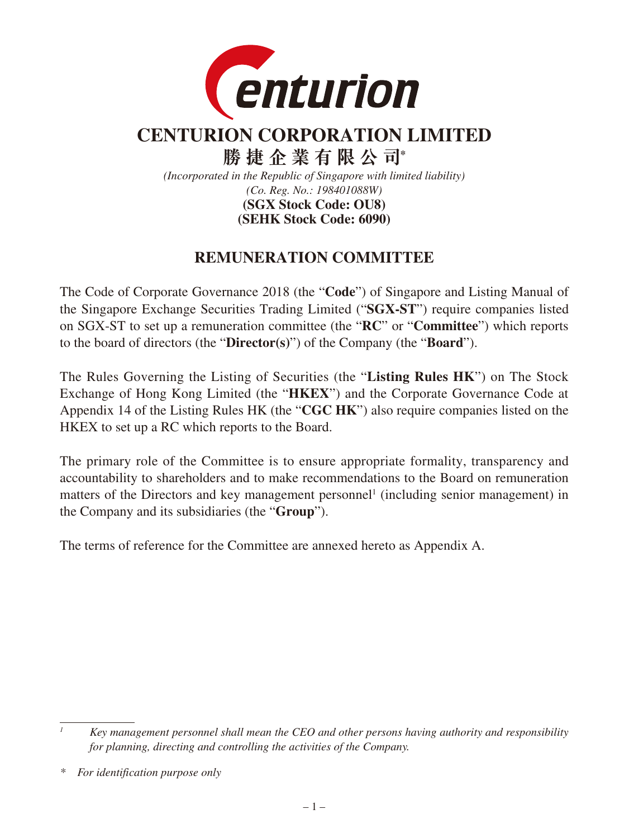

# **CENTURION CORPORATION LIMITED**

**勝捷企業有限公司\***

*(Incorporated in the Republic of Singapore with limited liability) (Co. Reg. No.: 198401088W)*

**(SEHK Stock Code: 6090) (SGX Stock Code: OU8)**

# **REMUNERATION COMMITTEE**

The Code of Corporate Governance 2018 (the "**Code**") of Singapore and Listing Manual of the Singapore Exchange Securities Trading Limited ("**SGX-ST**") require companies listed on SGX-ST to set up a remuneration committee (the "**RC**" or "**Committee**") which reports to the board of directors (the "**Director(s)**") of the Company (the "**Board**").

The Rules Governing the Listing of Securities (the "**Listing Rules HK**") on The Stock Exchange of Hong Kong Limited (the "**HKEX**") and the Corporate Governance Code at Appendix 14 of the Listing Rules HK (the "**CGC HK**") also require companies listed on the HKEX to set up a RC which reports to the Board.

The primary role of the Committee is to ensure appropriate formality, transparency and accountability to shareholders and to make recommendations to the Board on remuneration matters of the Directors and key management personnel<sup>1</sup> (including senior management) in the Company and its subsidiaries (the "**Group**").

The terms of reference for the Committee are annexed hereto as Appendix A.

*<sup>1</sup> Key management personnel shall mean the CEO and other persons having authority and responsibility for planning, directing and controlling the activities of the Company.*

*<sup>\*</sup> For identification purpose only*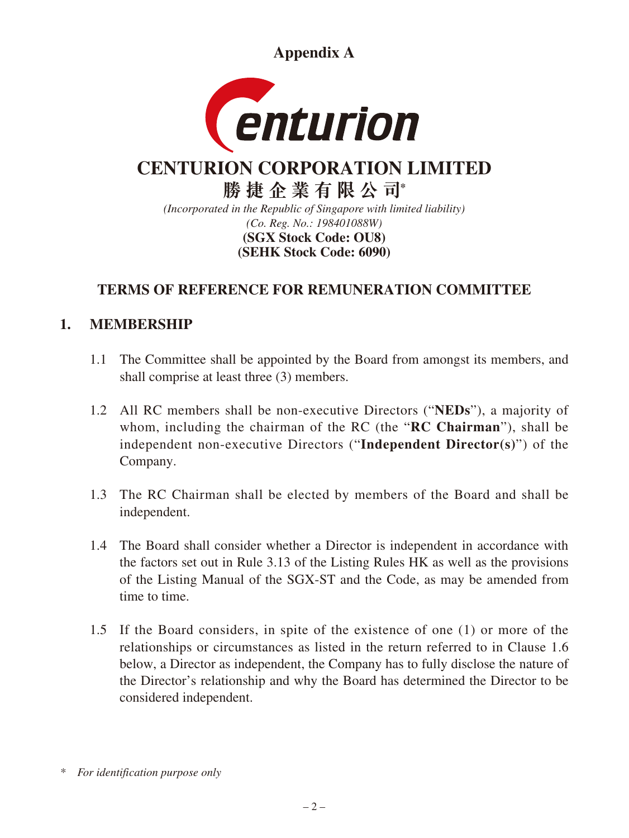**Appendix A**



# **CENTURION CORPORATION LIMITED**

**勝捷企業有限公司\*** *(Incorporated in the Republic of Singapore with limited liability) (Co. Reg. No.: 198401088W)* **(SEHK Stock Code: 6090) (SGX Stock Code: OU8)**

# **TERMS OF REFERENCE FOR REMUNERATION COMMITTEE**

# **1. MEMBERSHIP**

- 1.1 The Committee shall be appointed by the Board from amongst its members, and shall comprise at least three (3) members.
- 1.2 All RC members shall be non-executive Directors ("**NEDs**"), a majority of whom, including the chairman of the RC (the "**RC Chairman**"), shall be independent non-executive Directors ("**Independent Director(s)**") of the Company.
- 1.3 The RC Chairman shall be elected by members of the Board and shall be independent.
- 1.4 The Board shall consider whether a Director is independent in accordance with the factors set out in Rule 3.13 of the Listing Rules HK as well as the provisions of the Listing Manual of the SGX-ST and the Code, as may be amended from time to time.
- 1.5 If the Board considers, in spite of the existence of one (1) or more of the relationships or circumstances as listed in the return referred to in Clause 1.6 below, a Director as independent, the Company has to fully disclose the nature of the Director's relationship and why the Board has determined the Director to be considered independent.

*<sup>\*</sup> For identification purpose only*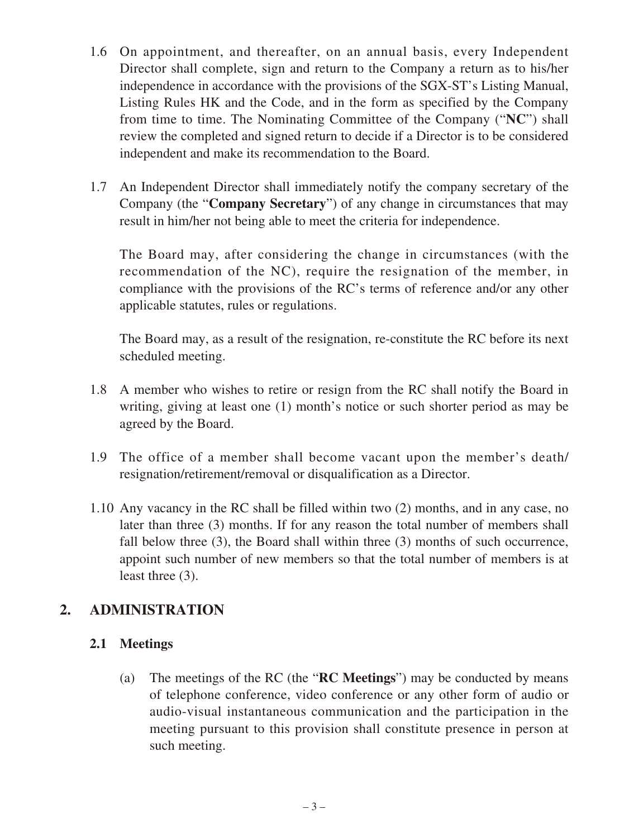- 1.6 On appointment, and thereafter, on an annual basis, every Independent Director shall complete, sign and return to the Company a return as to his/her independence in accordance with the provisions of the SGX-ST's Listing Manual, Listing Rules HK and the Code, and in the form as specified by the Company from time to time. The Nominating Committee of the Company ("**NC**") shall review the completed and signed return to decide if a Director is to be considered independent and make its recommendation to the Board.
- 1.7 An Independent Director shall immediately notify the company secretary of the Company (the "**Company Secretary**") of any change in circumstances that may result in him/her not being able to meet the criteria for independence.

The Board may, after considering the change in circumstances (with the recommendation of the NC), require the resignation of the member, in compliance with the provisions of the RC's terms of reference and/or any other applicable statutes, rules or regulations.

The Board may, as a result of the resignation, re-constitute the RC before its next scheduled meeting.

- 1.8 A member who wishes to retire or resign from the RC shall notify the Board in writing, giving at least one (1) month's notice or such shorter period as may be agreed by the Board.
- 1.9 The office of a member shall become vacant upon the member's death/ resignation/retirement/removal or disqualification as a Director.
- 1.10 Any vacancy in the RC shall be filled within two (2) months, and in any case, no later than three (3) months. If for any reason the total number of members shall fall below three (3), the Board shall within three (3) months of such occurrence, appoint such number of new members so that the total number of members is at least three (3).

# **2. ADMINISTRATION**

#### **2.1 Meetings**

(a) The meetings of the RC (the "**RC Meetings**") may be conducted by means of telephone conference, video conference or any other form of audio or audio-visual instantaneous communication and the participation in the meeting pursuant to this provision shall constitute presence in person at such meeting.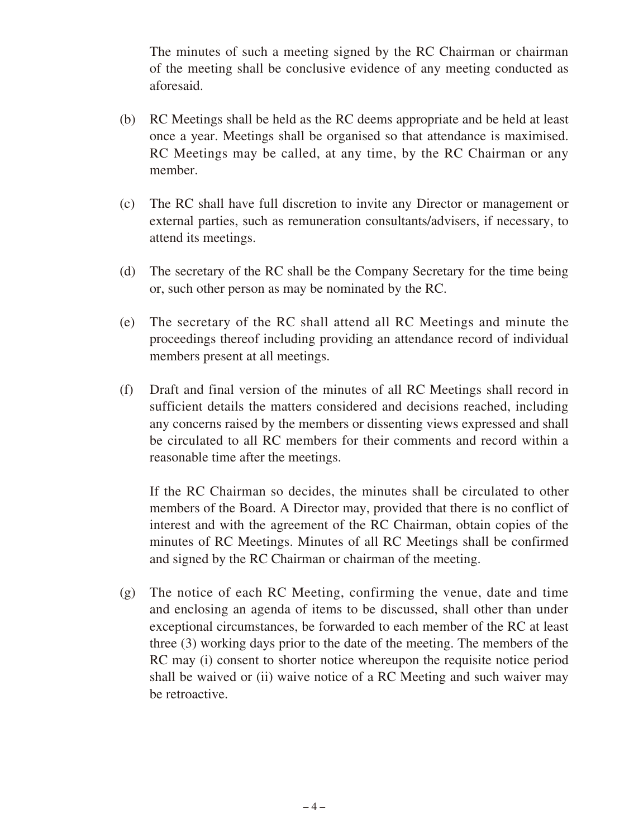The minutes of such a meeting signed by the RC Chairman or chairman of the meeting shall be conclusive evidence of any meeting conducted as aforesaid.

- (b) RC Meetings shall be held as the RC deems appropriate and be held at least once a year. Meetings shall be organised so that attendance is maximised. RC Meetings may be called, at any time, by the RC Chairman or any member.
- (c) The RC shall have full discretion to invite any Director or management or external parties, such as remuneration consultants/advisers, if necessary, to attend its meetings.
- (d) The secretary of the RC shall be the Company Secretary for the time being or, such other person as may be nominated by the RC.
- (e) The secretary of the RC shall attend all RC Meetings and minute the proceedings thereof including providing an attendance record of individual members present at all meetings.
- (f) Draft and final version of the minutes of all RC Meetings shall record in sufficient details the matters considered and decisions reached, including any concerns raised by the members or dissenting views expressed and shall be circulated to all RC members for their comments and record within a reasonable time after the meetings.

If the RC Chairman so decides, the minutes shall be circulated to other members of the Board. A Director may, provided that there is no conflict of interest and with the agreement of the RC Chairman, obtain copies of the minutes of RC Meetings. Minutes of all RC Meetings shall be confirmed and signed by the RC Chairman or chairman of the meeting.

(g) The notice of each RC Meeting, confirming the venue, date and time and enclosing an agenda of items to be discussed, shall other than under exceptional circumstances, be forwarded to each member of the RC at least three (3) working days prior to the date of the meeting. The members of the RC may (i) consent to shorter notice whereupon the requisite notice period shall be waived or (ii) waive notice of a RC Meeting and such waiver may be retroactive.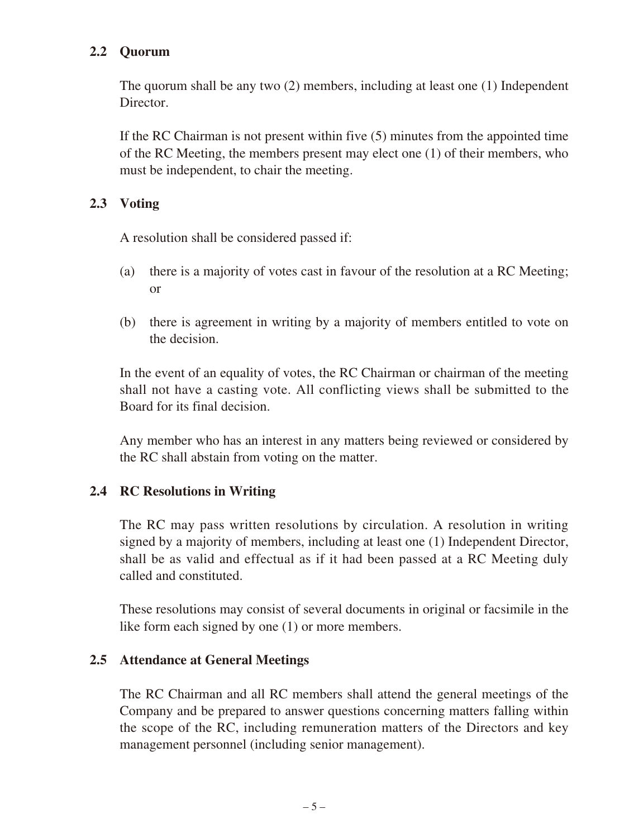#### **2.2 Quorum**

The quorum shall be any two (2) members, including at least one (1) Independent Director.

If the RC Chairman is not present within five (5) minutes from the appointed time of the RC Meeting, the members present may elect one (1) of their members, who must be independent, to chair the meeting.

#### **2.3 Voting**

A resolution shall be considered passed if:

- (a) there is a majority of votes cast in favour of the resolution at a RC Meeting; or
- (b) there is agreement in writing by a majority of members entitled to vote on the decision.

In the event of an equality of votes, the RC Chairman or chairman of the meeting shall not have a casting vote. All conflicting views shall be submitted to the Board for its final decision.

Any member who has an interest in any matters being reviewed or considered by the RC shall abstain from voting on the matter.

#### **2.4 RC Resolutions in Writing**

The RC may pass written resolutions by circulation. A resolution in writing signed by a majority of members, including at least one (1) Independent Director, shall be as valid and effectual as if it had been passed at a RC Meeting duly called and constituted.

These resolutions may consist of several documents in original or facsimile in the like form each signed by one (1) or more members.

#### **2.5 Attendance at General Meetings**

The RC Chairman and all RC members shall attend the general meetings of the Company and be prepared to answer questions concerning matters falling within the scope of the RC, including remuneration matters of the Directors and key management personnel (including senior management).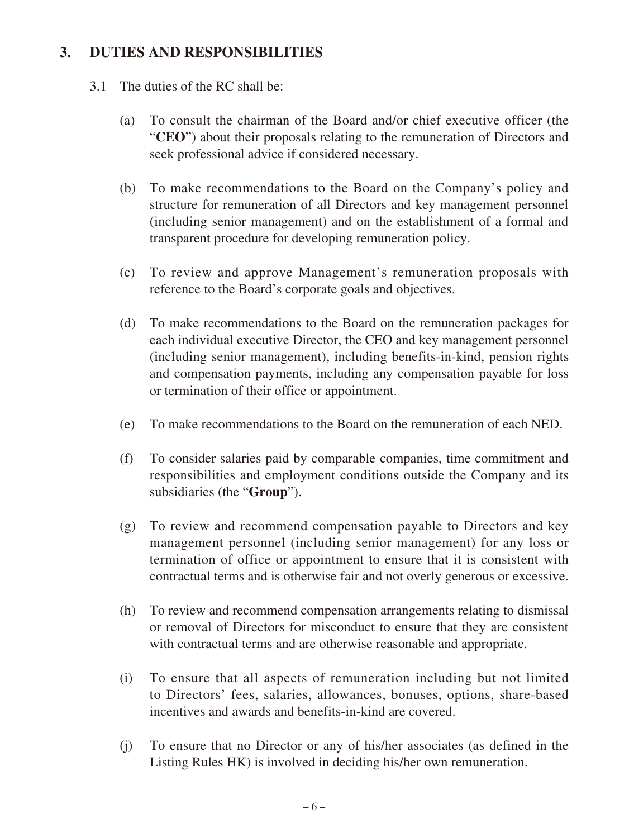#### **3. DUTIES AND RESPONSIBILITIES**

- 3.1 The duties of the RC shall be:
	- (a) To consult the chairman of the Board and/or chief executive officer (the "**CEO**") about their proposals relating to the remuneration of Directors and seek professional advice if considered necessary.
	- (b) To make recommendations to the Board on the Company's policy and structure for remuneration of all Directors and key management personnel (including senior management) and on the establishment of a formal and transparent procedure for developing remuneration policy.
	- (c) To review and approve Management's remuneration proposals with reference to the Board's corporate goals and objectives.
	- (d) To make recommendations to the Board on the remuneration packages for each individual executive Director, the CEO and key management personnel (including senior management), including benefits-in-kind, pension rights and compensation payments, including any compensation payable for loss or termination of their office or appointment.
	- (e) To make recommendations to the Board on the remuneration of each NED.
	- (f) To consider salaries paid by comparable companies, time commitment and responsibilities and employment conditions outside the Company and its subsidiaries (the "**Group**").
	- (g) To review and recommend compensation payable to Directors and key management personnel (including senior management) for any loss or termination of office or appointment to ensure that it is consistent with contractual terms and is otherwise fair and not overly generous or excessive.
	- (h) To review and recommend compensation arrangements relating to dismissal or removal of Directors for misconduct to ensure that they are consistent with contractual terms and are otherwise reasonable and appropriate.
	- (i) To ensure that all aspects of remuneration including but not limited to Directors' fees, salaries, allowances, bonuses, options, share-based incentives and awards and benefits-in-kind are covered.
	- (j) To ensure that no Director or any of his/her associates (as defined in the Listing Rules HK) is involved in deciding his/her own remuneration.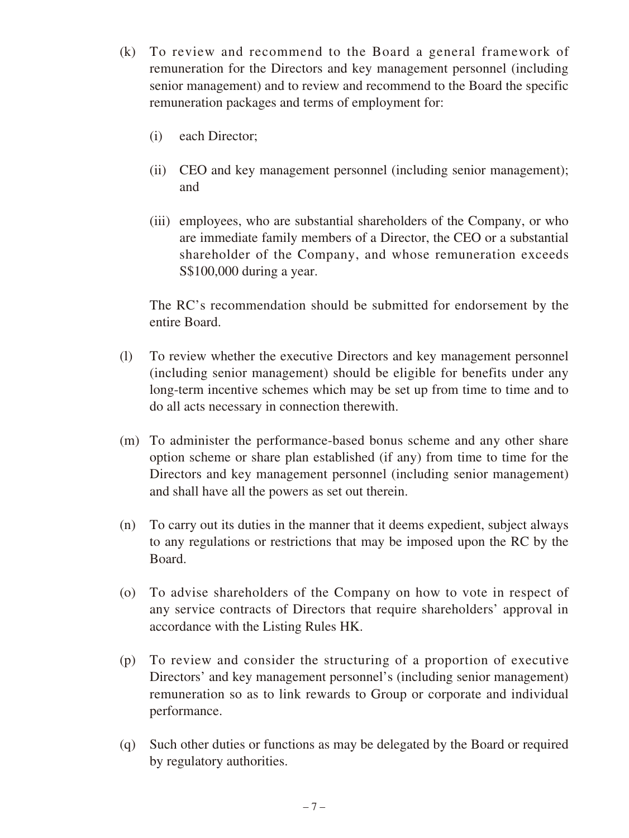- (k) To review and recommend to the Board a general framework of remuneration for the Directors and key management personnel (including senior management) and to review and recommend to the Board the specific remuneration packages and terms of employment for:
	- (i) each Director;
	- (ii) CEO and key management personnel (including senior management); and
	- (iii) employees, who are substantial shareholders of the Company, or who are immediate family members of a Director, the CEO or a substantial shareholder of the Company, and whose remuneration exceeds S\$100,000 during a year.

The RC's recommendation should be submitted for endorsement by the entire Board.

- (l) To review whether the executive Directors and key management personnel (including senior management) should be eligible for benefits under any long-term incentive schemes which may be set up from time to time and to do all acts necessary in connection therewith.
- (m) To administer the performance-based bonus scheme and any other share option scheme or share plan established (if any) from time to time for the Directors and key management personnel (including senior management) and shall have all the powers as set out therein.
- (n) To carry out its duties in the manner that it deems expedient, subject always to any regulations or restrictions that may be imposed upon the RC by the Board.
- (o) To advise shareholders of the Company on how to vote in respect of any service contracts of Directors that require shareholders' approval in accordance with the Listing Rules HK.
- (p) To review and consider the structuring of a proportion of executive Directors' and key management personnel's (including senior management) remuneration so as to link rewards to Group or corporate and individual performance.
- (q) Such other duties or functions as may be delegated by the Board or required by regulatory authorities.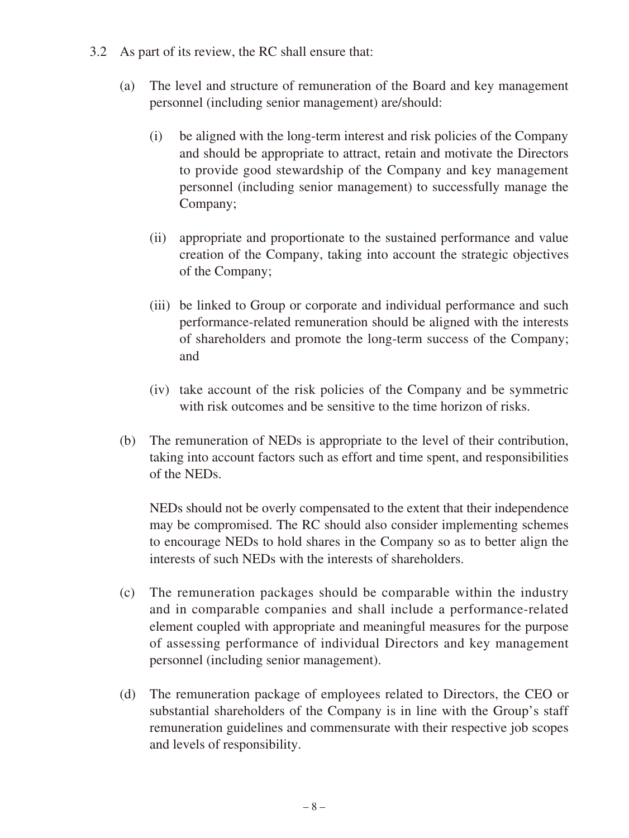- 3.2 As part of its review, the RC shall ensure that:
	- (a) The level and structure of remuneration of the Board and key management personnel (including senior management) are/should:
		- (i) be aligned with the long-term interest and risk policies of the Company and should be appropriate to attract, retain and motivate the Directors to provide good stewardship of the Company and key management personnel (including senior management) to successfully manage the Company;
		- (ii) appropriate and proportionate to the sustained performance and value creation of the Company, taking into account the strategic objectives of the Company;
		- (iii) be linked to Group or corporate and individual performance and such performance-related remuneration should be aligned with the interests of shareholders and promote the long-term success of the Company; and
		- (iv) take account of the risk policies of the Company and be symmetric with risk outcomes and be sensitive to the time horizon of risks.
	- (b) The remuneration of NEDs is appropriate to the level of their contribution, taking into account factors such as effort and time spent, and responsibilities of the NEDs.

NEDs should not be overly compensated to the extent that their independence may be compromised. The RC should also consider implementing schemes to encourage NEDs to hold shares in the Company so as to better align the interests of such NEDs with the interests of shareholders.

- (c) The remuneration packages should be comparable within the industry and in comparable companies and shall include a performance-related element coupled with appropriate and meaningful measures for the purpose of assessing performance of individual Directors and key management personnel (including senior management).
- (d) The remuneration package of employees related to Directors, the CEO or substantial shareholders of the Company is in line with the Group's staff remuneration guidelines and commensurate with their respective job scopes and levels of responsibility.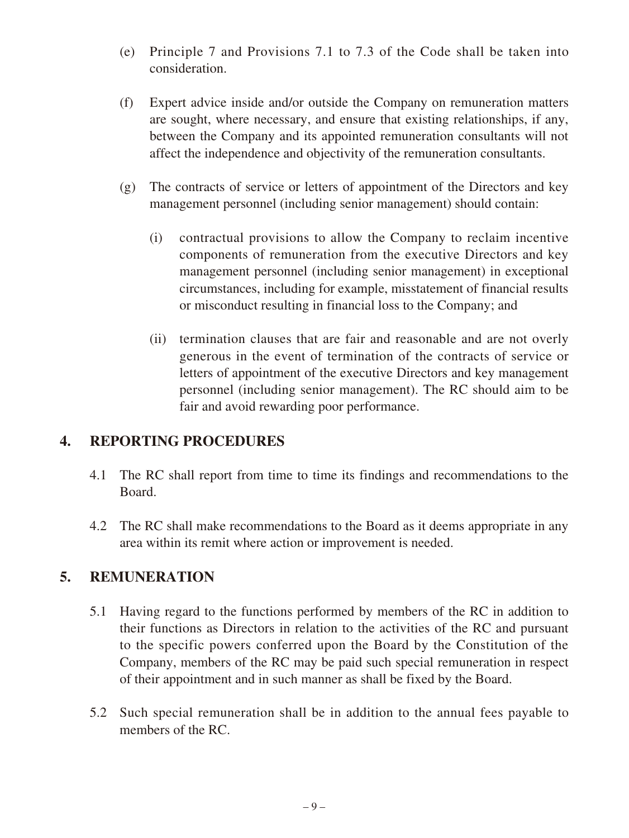- (e) Principle 7 and Provisions 7.1 to 7.3 of the Code shall be taken into consideration.
- (f) Expert advice inside and/or outside the Company on remuneration matters are sought, where necessary, and ensure that existing relationships, if any, between the Company and its appointed remuneration consultants will not affect the independence and objectivity of the remuneration consultants.
- (g) The contracts of service or letters of appointment of the Directors and key management personnel (including senior management) should contain:
	- (i) contractual provisions to allow the Company to reclaim incentive components of remuneration from the executive Directors and key management personnel (including senior management) in exceptional circumstances, including for example, misstatement of financial results or misconduct resulting in financial loss to the Company; and
	- (ii) termination clauses that are fair and reasonable and are not overly generous in the event of termination of the contracts of service or letters of appointment of the executive Directors and key management personnel (including senior management). The RC should aim to be fair and avoid rewarding poor performance.

# **4. REPORTING PROCEDURES**

- 4.1 The RC shall report from time to time its findings and recommendations to the Board.
- 4.2 The RC shall make recommendations to the Board as it deems appropriate in any area within its remit where action or improvement is needed.

# **5. REMUNERATION**

- 5.1 Having regard to the functions performed by members of the RC in addition to their functions as Directors in relation to the activities of the RC and pursuant to the specific powers conferred upon the Board by the Constitution of the Company, members of the RC may be paid such special remuneration in respect of their appointment and in such manner as shall be fixed by the Board.
- 5.2 Such special remuneration shall be in addition to the annual fees payable to members of the RC.